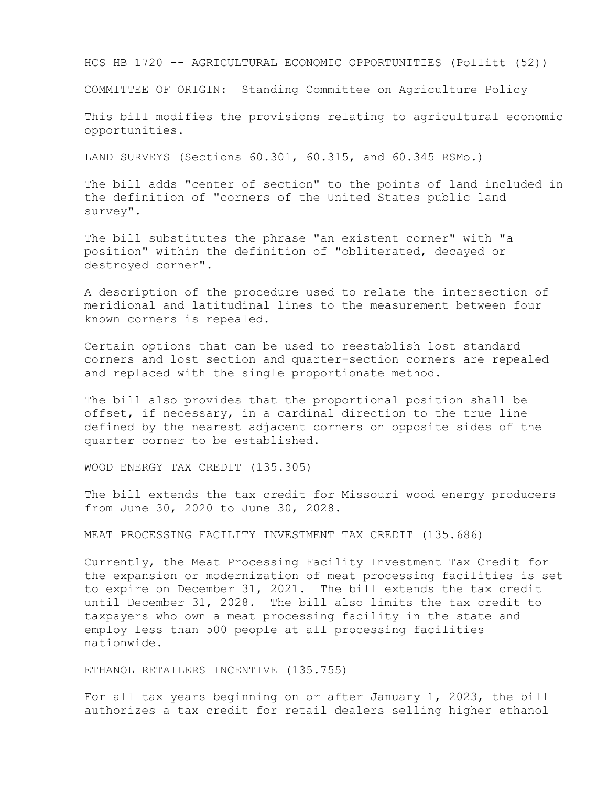HCS HB 1720 -- AGRICULTURAL ECONOMIC OPPORTUNITIES (Pollitt (52))

COMMITTEE OF ORIGIN: Standing Committee on Agriculture Policy

This bill modifies the provisions relating to agricultural economic opportunities.

LAND SURVEYS (Sections 60.301, 60.315, and 60.345 RSMo.)

The bill adds "center of section" to the points of land included in the definition of "corners of the United States public land survey".

The bill substitutes the phrase "an existent corner" with "a position" within the definition of "obliterated, decayed or destroyed corner".

A description of the procedure used to relate the intersection of meridional and latitudinal lines to the measurement between four known corners is repealed.

Certain options that can be used to reestablish lost standard corners and lost section and quarter-section corners are repealed and replaced with the single proportionate method.

The bill also provides that the proportional position shall be offset, if necessary, in a cardinal direction to the true line defined by the nearest adjacent corners on opposite sides of the quarter corner to be established.

WOOD ENERGY TAX CREDIT (135.305)

The bill extends the tax credit for Missouri wood energy producers from June 30, 2020 to June 30, 2028.

MEAT PROCESSING FACILITY INVESTMENT TAX CREDIT (135.686)

Currently, the Meat Processing Facility Investment Tax Credit for the expansion or modernization of meat processing facilities is set to expire on December 31, 2021. The bill extends the tax credit until December 31, 2028. The bill also limits the tax credit to taxpayers who own a meat processing facility in the state and employ less than 500 people at all processing facilities nationwide.

ETHANOL RETAILERS INCENTIVE (135.755)

For all tax years beginning on or after January 1, 2023, the bill authorizes a tax credit for retail dealers selling higher ethanol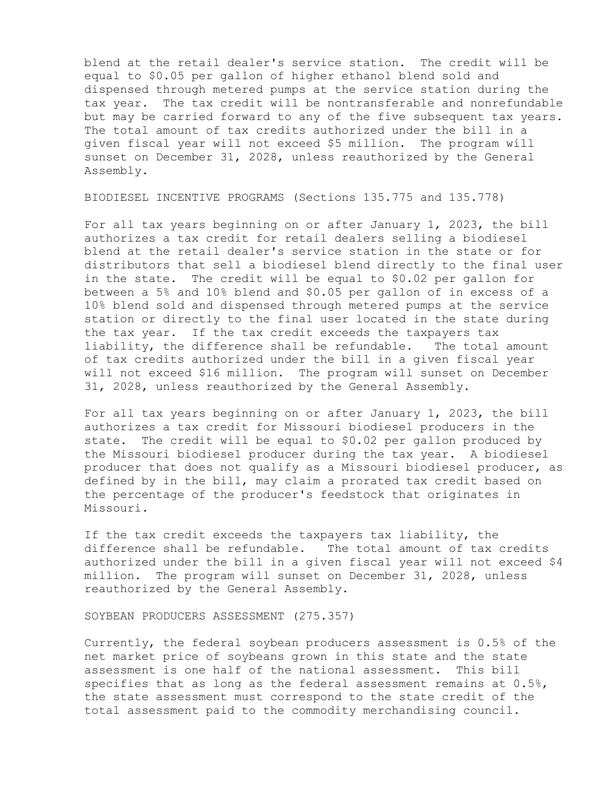blend at the retail dealer's service station. The credit will be equal to \$0.05 per gallon of higher ethanol blend sold and dispensed through metered pumps at the service station during the tax year. The tax credit will be nontransferable and nonrefundable but may be carried forward to any of the five subsequent tax years. The total amount of tax credits authorized under the bill in a given fiscal year will not exceed \$5 million. The program will sunset on December 31, 2028, unless reauthorized by the General Assembly.

BIODIESEL INCENTIVE PROGRAMS (Sections 135.775 and 135.778)

For all tax years beginning on or after January 1, 2023, the bill authorizes a tax credit for retail dealers selling a biodiesel blend at the retail dealer's service station in the state or for distributors that sell a biodiesel blend directly to the final user in the state. The credit will be equal to \$0.02 per gallon for between a 5% and 10% blend and \$0.05 per gallon of in excess of a 10% blend sold and dispensed through metered pumps at the service station or directly to the final user located in the state during the tax year. If the tax credit exceeds the taxpayers tax liability, the difference shall be refundable. The total amount of tax credits authorized under the bill in a given fiscal year will not exceed \$16 million. The program will sunset on December 31, 2028, unless reauthorized by the General Assembly.

For all tax years beginning on or after January 1, 2023, the bill authorizes a tax credit for Missouri biodiesel producers in the state. The credit will be equal to \$0.02 per gallon produced by the Missouri biodiesel producer during the tax year. A biodiesel producer that does not qualify as a Missouri biodiesel producer, as defined by in the bill, may claim a prorated tax credit based on the percentage of the producer's feedstock that originates in Missouri.

If the tax credit exceeds the taxpayers tax liability, the difference shall be refundable. The total amount of tax credits authorized under the bill in a given fiscal year will not exceed \$4 million. The program will sunset on December 31, 2028, unless reauthorized by the General Assembly.

SOYBEAN PRODUCERS ASSESSMENT (275.357)

Currently, the federal soybean producers assessment is 0.5% of the net market price of soybeans grown in this state and the state assessment is one half of the national assessment. This bill specifies that as long as the federal assessment remains at  $0.5\%$ , the state assessment must correspond to the state credit of the total assessment paid to the commodity merchandising council.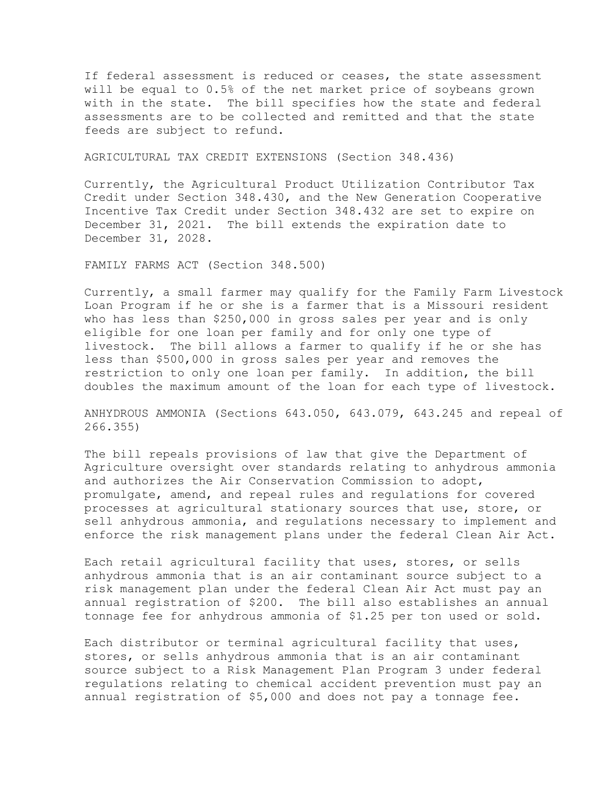If federal assessment is reduced or ceases, the state assessment will be equal to 0.5% of the net market price of soybeans grown with in the state. The bill specifies how the state and federal assessments are to be collected and remitted and that the state feeds are subject to refund.

AGRICULTURAL TAX CREDIT EXTENSIONS (Section 348.436)

Currently, the Agricultural Product Utilization Contributor Tax Credit under Section 348.430, and the New Generation Cooperative Incentive Tax Credit under Section 348.432 are set to expire on December 31, 2021. The bill extends the expiration date to December 31, 2028.

FAMILY FARMS ACT (Section 348.500)

Currently, a small farmer may qualify for the Family Farm Livestock Loan Program if he or she is a farmer that is a Missouri resident who has less than \$250,000 in gross sales per year and is only eligible for one loan per family and for only one type of livestock. The bill allows a farmer to qualify if he or she has less than \$500,000 in gross sales per year and removes the restriction to only one loan per family. In addition, the bill doubles the maximum amount of the loan for each type of livestock.

ANHYDROUS AMMONIA (Sections 643.050, 643.079, 643.245 and repeal of 266.355)

The bill repeals provisions of law that give the Department of Agriculture oversight over standards relating to anhydrous ammonia and authorizes the Air Conservation Commission to adopt, promulgate, amend, and repeal rules and regulations for covered processes at agricultural stationary sources that use, store, or sell anhydrous ammonia, and regulations necessary to implement and enforce the risk management plans under the federal Clean Air Act.

Each retail agricultural facility that uses, stores, or sells anhydrous ammonia that is an air contaminant source subject to a risk management plan under the federal Clean Air Act must pay an annual registration of \$200. The bill also establishes an annual tonnage fee for anhydrous ammonia of \$1.25 per ton used or sold.

Each distributor or terminal agricultural facility that uses, stores, or sells anhydrous ammonia that is an air contaminant source subject to a Risk Management Plan Program 3 under federal regulations relating to chemical accident prevention must pay an annual registration of \$5,000 and does not pay a tonnage fee.